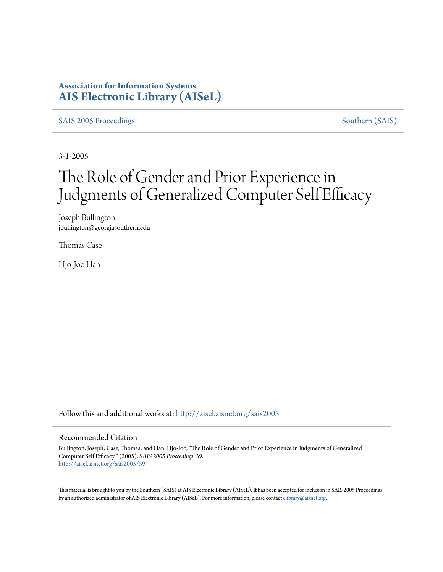### **Association for Information Systems [AIS Electronic Library \(AISeL\)](http://aisel.aisnet.org?utm_source=aisel.aisnet.org%2Fsais2005%2F39&utm_medium=PDF&utm_campaign=PDFCoverPages)**

[SAIS 2005 Proceedings](http://aisel.aisnet.org/sais2005?utm_source=aisel.aisnet.org%2Fsais2005%2F39&utm_medium=PDF&utm_campaign=PDFCoverPages) [Southern \(SAIS\)](http://aisel.aisnet.org/sais?utm_source=aisel.aisnet.org%2Fsais2005%2F39&utm_medium=PDF&utm_campaign=PDFCoverPages)

3-1-2005

# The Role of Gender and Prior Experience in Judgments of Generalized Computer Self Efficacy

Joseph Bullington jbullington@georgiasouthern.edu

Thomas Case

Hjo-Joo Han

Follow this and additional works at: [http://aisel.aisnet.org/sais2005](http://aisel.aisnet.org/sais2005?utm_source=aisel.aisnet.org%2Fsais2005%2F39&utm_medium=PDF&utm_campaign=PDFCoverPages)

#### Recommended Citation

Bullington, Joseph; Case, Thomas; and Han, Hjo-Joo, "The Role of Gender and Prior Experience in Judgments of Generalized Computer Self Efficacy " (2005). *SAIS 2005 Proceedings*. 39. [http://aisel.aisnet.org/sais2005/39](http://aisel.aisnet.org/sais2005/39?utm_source=aisel.aisnet.org%2Fsais2005%2F39&utm_medium=PDF&utm_campaign=PDFCoverPages)

This material is brought to you by the Southern (SAIS) at AIS Electronic Library (AISeL). It has been accepted for inclusion in SAIS 2005 Proceedings by an authorized administrator of AIS Electronic Library (AISeL). For more information, please contact [elibrary@aisnet.org](mailto:elibrary@aisnet.org%3E).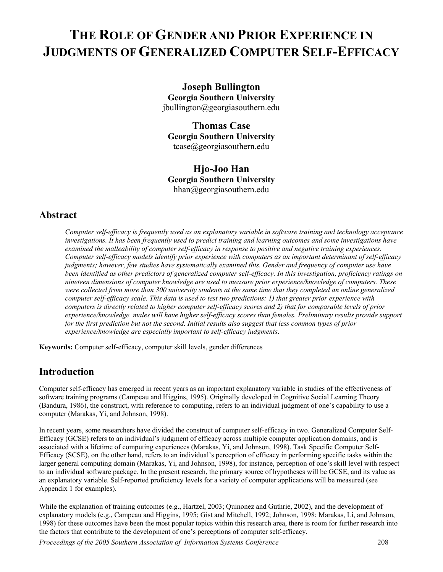# **THE ROLE OF GENDER AND PRIOR EXPERIENCE IN JUDGMENTS OF GENERALIZED COMPUTER SELF-EFFICACY**

**Joseph Bullington Georgia Southern University**  [jbullington@georgiasouthern.edu](mailto:cvanslyke@bus.ucf.edu)

**Thomas Case Georgia Southern University**  tcase@georgiasouthern.edu

**Hjo-Joo Han Georgia Southern University**  [hhan@georgiasouthern.edu](mailto:cvanslyke@bus.ucf.edu)

### **Abstract**

*Computer self-efficacy is frequently used as an explanatory variable in software training and technology acceptance investigations. It has been frequently used to predict training and learning outcomes and some investigations have examined the malleability of computer self-efficacy in response to positive and negative training experiences. Computer self-efficacy models identify prior experience with computers as an important determinant of self-efficacy judgments; however, few studies have systematically examined this. Gender and frequency of computer use have been identified as other predictors of generalized computer self-efficacy. In this investigation, proficiency ratings on nineteen dimensions of computer knowledge are used to measure prior experience/knowledge of computers. These were collected from more than 300 university students at the same time that they completed an online generalized computer self-efficacy scale. This data is used to test two predictions: 1) that greater prior experience with computers is directly related to higher computer self-efficacy scores and 2) that for comparable levels of prior*  experience/knowledge, males will have higher self-efficacy scores than females. Preliminary results provide support *for the first prediction but not the second. Initial results also suggest that less common types of prior experience/knowledge are especially important to self-efficacy judgments*.

**Keywords:** Computer self-efficacy, computer skill levels, gender differences

### **Introduction**

Computer self-efficacy has emerged in recent years as an important explanatory variable in studies of the effectiveness of software training programs (Campeau and Higgins, 1995). Originally developed in Cognitive Social Learning Theory (Bandura, 1986), the construct, with reference to computing, refers to an individual judgment of one's capability to use a computer (Marakas, Yi, and Johnson, 1998).

In recent years, some researchers have divided the construct of computer self-efficacy in two. Generalized Computer Self-Efficacy (GCSE) refers to an individual's judgment of efficacy across multiple computer application domains, and is associated with a lifetime of computing experiences (Marakas, Yi, and Johnson, 1998). Task Specific Computer Self-Efficacy (SCSE), on the other hand, refers to an individual's perception of efficacy in performing specific tasks within the larger general computing domain (Marakas, Yi, and Johnson, 1998), for instance, perception of one's skill level with respect to an individual software package. In the present research, the primary source of hypotheses will be GCSE, and its value as an explanatory variable. Self-reported proficiency levels for a variety of computer applications will be measured (see Appendix 1 for examples).

While the explanation of training outcomes (e.g., Hartzel, 2003; Quinonez and Guthrie, 2002), and the development of explanatory models (e.g., Campeau and Higgins, 1995; Gist and Mitchell, 1992; Johnson, 1998; Marakas, Li, and Johnson, 1998) for these outcomes have been the most popular topics within this research area, there is room for further research into the factors that contribute to the development of one's perceptions of computer self-efficacy.

*Proceedings of the 2005 Southern Association of Information Systems Conference* 208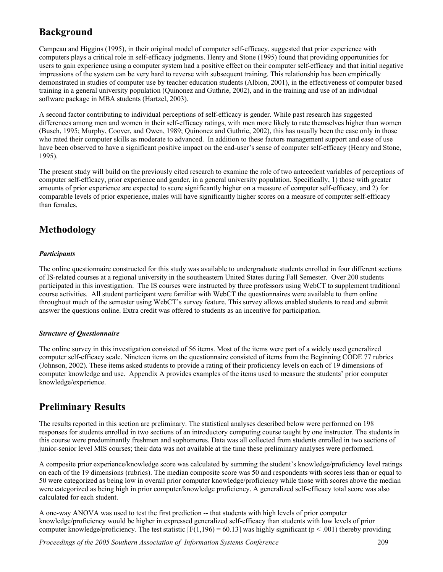## **Background**

Campeau and Higgins (1995), in their original model of computer self-efficacy, suggested that prior experience with computers plays a critical role in self-efficacy judgments. Henry and Stone (1995) found that providing opportunities for users to gain experience using a computer system had a positive effect on their computer self-efficacy and that initial negative impressions of the system can be very hard to reverse with subsequent training. This relationship has been empirically demonstrated in studies of computer use by teacher education students (Albion, 2001), in the effectiveness of computer based training in a general university population (Quinonez and Guthrie, 2002), and in the training and use of an individual software package in MBA students (Hartzel, 2003).

A second factor contributing to individual perceptions of self-efficacy is gender. While past research has suggested differences among men and women in their self-efficacy ratings, with men more likely to rate themselves higher than women (Busch, 1995; Murphy, Coover, and Owen, 1989; Quinonez and Guthrie, 2002), this has usually been the case only in those who rated their computer skills as moderate to advanced. In addition to these factors management support and ease of use have been observed to have a significant positive impact on the end-user's sense of computer self-efficacy (Henry and Stone, 1995).

The present study will build on the previously cited research to examine the role of two antecedent variables of perceptions of computer self-efficacy, prior experience and gender, in a general university population. Specifically, 1) those with greater amounts of prior experience are expected to score significantly higher on a measure of computer self-efficacy, and 2) for comparable levels of prior experience, males will have significantly higher scores on a measure of computer self-efficacy than females.

## **Methodology**

### *Participants*

The online questionnaire constructed for this study was available to undergraduate students enrolled in four different sections of IS-related courses at a regional university in the southeastern United States during Fall Semester. Over 200 students participated in this investigation. The IS courses were instructed by three professors using WebCT to supplement traditional course activities. All student participant were familiar with WebCT the questionnaires were available to them online throughout much of the semester using WebCT's survey feature. This survey allows enabled students to read and submit answer the questions online. Extra credit was offered to students as an incentive for participation.

### *Structure of Questionnaire*

The online survey in this investigation consisted of 56 items. Most of the items were part of a widely used generalized computer self-efficacy scale. Nineteen items on the questionnaire consisted of items from the Beginning CODE 77 rubrics (Johnson, 2002). These items asked students to provide a rating of their proficiency levels on each of 19 dimensions of computer knowledge and use. Appendix A provides examples of the items used to measure the students' prior computer knowledge/experience.

# **Preliminary Results**

The results reported in this section are preliminary. The statistical analyses described below were performed on 198 responses for students enrolled in two sections of an introductory computing course taught by one instructor. The students in this course were predominantly freshmen and sophomores. Data was all collected from students enrolled in two sections of junior-senior level MIS courses; their data was not available at the time these preliminary analyses were performed.

A composite prior experience/knowledge score was calculated by summing the student's knowledge/proficiency level ratings on each of the 19 dimensions (rubrics). The median composite score was 50 and respondents with scores less than or equal to 50 were categorized as being low in overall prior computer knowledge/proficiency while those with scores above the median were categorized as being high in prior computer/knowledge proficiency. A generalized self-efficacy total score was also calculated for each student.

A one-way ANOVA was used to test the first prediction -- that students with high levels of prior computer knowledge/proficiency would be higher in expressed generalized self-efficacy than students with low levels of prior computer knowledge/proficiency. The test statistic  $[F(1,196) = 60.13]$  was highly significant (p < .001) thereby providing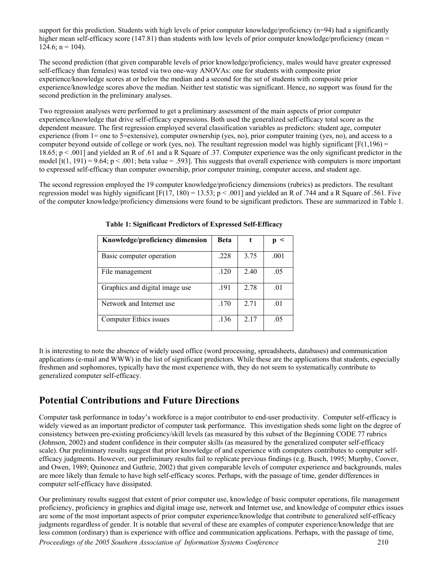support for this prediction. Students with high levels of prior computer knowledge/proficiency  $(n=94)$  had a significantly higher mean self-efficacy score (147.81) than students with low levels of prior computer knowledge/proficiency (mean =  $124.6$ ; n = 104).

The second prediction (that given comparable levels of prior knowledge/proficiency, males would have greater expressed self-efficacy than females) was tested via two one-way ANOVAs: one for students with composite prior experience/knowledge scores at or below the median and a second for the set of students with composite prior experience/knowledge scores above the median. Neither test statistic was significant. Hence, no support was found for the second prediction in the preliminary analyses.

Two regression analyses were performed to get a preliminary assessment of the main aspects of prior computer experience/knowledge that drive self-efficacy expressions. Both used the generalized self-efficacy total score as the dependent measure. The first regression employed several classification variables as predictors: student age, computer experience (from 1= one to 5=extensive), computer ownership (yes, no), prior computer training (yes, no), and access to a computer beyond outside of college or work (yes, no). The resultant regression model was highly significant  $[F(1,196) =$ 18.65;  $p \le 0.001$  and yielded an R of .61 and a R Square of .37. Computer experience was the only significant predictor in the model  $[t(1, 191) = 9.64; p < .001$ ; beta value = .593]. This suggests that overall experience with computers is more important to expressed self-efficacy than computer ownership, prior computer training, computer access, and student age.

The second regression employed the 19 computer knowledge/proficiency dimensions (rubrics) as predictors. The resultant regression model was highly significant  $[F(17, 180) = 13.53; p < .001]$  and yielded an R of .744 and a R Square of .561. Five of the computer knowledge/proficiency dimensions were found to be significant predictors. These are summarized in Table 1.

| Knowledge/proficiency dimension | Beta |      | $\prec$ |
|---------------------------------|------|------|---------|
| Basic computer operation        | .228 | 3.75 | .001    |
| File management                 | .120 | 2.40 | .05     |
| Graphics and digital image use  | .191 | 2.78 | .01     |
| Network and Internet use        | .170 | 2.71 | .01     |
| Computer Ethics issues          | .136 | 2.17 | .05     |

 **Table 1: Significant Predictors of Expressed Self-Efficacy** 

It is interesting to note the absence of widely used office (word processing, spreadsheets, databases) and communication applications (e-mail and WWW) in the list of significant predictors. While these are the applications that students, especially freshmen and sophomores, typically have the most experience with, they do not seem to systematically contribute to generalized computer self-efficacy.

## **Potential Contributions and Future Directions**

Computer task performance in today's workforce is a major contributor to end-user productivity. Computer self-efficacy is widely viewed as an important predictor of computer task performance. This investigation sheds some light on the degree of consistency between pre-existing proficiency/skill levels (as measured by this subset of the Beginning CODE 77 rubrics (Johnson, 2002) and student confidence in their computer skills (as measured by the generalized computer self-efficacy scale). Our preliminary results suggest that prior knowledge of and experience with computers contributes to computer selfefficacy judgments. However, our preliminary results fail to replicate previous findings (e.g. Busch, 1995; Murphy, Coover, and Owen, 1989; Quinonez and Guthrie, 2002) that given comparable levels of computer experience and backgrounds, males are more likely than female to have high self-efficacy scores. Perhaps, with the passage of time, gender differences in computer self-efficacy have dissipated.

*Proceedings of the 2005 Southern Association of Information Systems Conference* 210 Our preliminary results suggest that extent of prior computer use, knowledge of basic computer operations, file management proficiency, proficiency in graphics and digital image use, network and Internet use, and knowledge of computer ethics issues are some of the most important aspects of prior computer experience/knowledge that contribute to generalized self-efficacy judgments regardless of gender. It is notable that several of these are examples of computer experience/knowledge that are less common (ordinary) than is experience with office and communication applications. Perhaps, with the passage of time,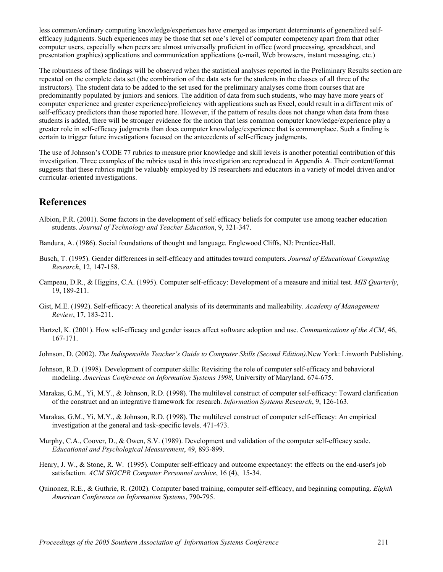less common/ordinary computing knowledge/experiences have emerged as important determinants of generalized selfefficacy judgments. Such experiences may be those that set one's level of computer competency apart from that other computer users, especially when peers are almost universally proficient in office (word processing, spreadsheet, and presentation graphics) applications and communication applications (e-mail, Web browsers, instant messaging, etc.)

The robustness of these findings will be observed when the statistical analyses reported in the Preliminary Results section are repeated on the complete data set (the combination of the data sets for the students in the classes of all three of the instructors). The student data to be added to the set used for the preliminary analyses come from courses that are predominantly populated by juniors and seniors. The addition of data from such students, who may have more years of computer experience and greater experience/proficiency with applications such as Excel, could result in a different mix of self-efficacy predictors than those reported here. However, if the pattern of results does not change when data from these students is added, there will be stronger evidence for the notion that less common computer knowledge/experience play a greater role in self-efficacy judgments than does computer knowledge/experience that is commonplace. Such a finding is certain to trigger future investigations focused on the antecedents of self-efficacy judgments.

The use of Johnson's CODE 77 rubrics to measure prior knowledge and skill levels is another potential contribution of this investigation. Three examples of the rubrics used in this investigation are reproduced in Appendix A. Their content/format suggests that these rubrics might be valuably employed by IS researchers and educators in a variety of model driven and/or curricular-oriented investigations.

### **References**

- Albion, P.R. (2001). Some factors in the development of self-efficacy beliefs for computer use among teacher education students. *Journal of Technology and Teacher Education*, 9, 321-347.
- Bandura, A. (1986). Social foundations of thought and language. Englewood Cliffs, NJ: Prentice-Hall.
- Busch, T. (1995). Gender differences in self-efficacy and attitudes toward computers. *Journal of Educational Computing Research*, 12, 147-158.
- Campeau, D.R., & Higgins, C.A. (1995). Computer self-efficacy: Development of a measure and initial test. *MIS Quarterly*, 19, 189-211.
- Gist, M.E. (1992). Self-efficacy: A theoretical analysis of its determinants and malleability. *Academy of Management Review*, 17, 183-211.
- Hartzel, K. (2001). How self-efficacy and gender issues affect software adoption and use. *Communications of the ACM*, 46, 167-171.
- Johnson, D. (2002). *The Indispensible Teacher's Guide to Computer Skills (Second Edition).*New York: Linworth Publishing.
- Johnson, R.D. (1998). Development of computer skills: Revisiting the role of computer self-efficacy and behavioral modeling. *Americas Conference on Information Systems 1998*, University of Maryland. 674-675.
- Marakas, G.M., Yi, M.Y., & Johnson, R.D. (1998). The multilevel construct of computer self-efficacy: Toward clarification of the construct and an integrative framework for research. *Information Systems Research*, 9, 126-163.
- Marakas, G.M., Yi, M.Y., & Johnson, R.D. (1998). The multilevel construct of computer self-efficacy: An empirical investigation at the general and task-specific levels. 471-473.
- Murphy, C.A., Coover, D., & Owen, S.V. (1989). Development and validation of the computer self-efficacy scale. *Educational and Psychological Measurement*, 49, 893-899.
- Henry, J. W., & Stone, R. W. (1995). Computer self-efficacy and outcome expectancy: the effects on the end-user's job satisfaction. *ACM SIGCPR Computer Personnel archive*, 16 (4), 15-34.
- Quinonez, R.E., & Guthrie, R. (2002). Computer based training, computer self-efficacy, and beginning computing. *Eighth American Conference on Information Systems*, 790-795.